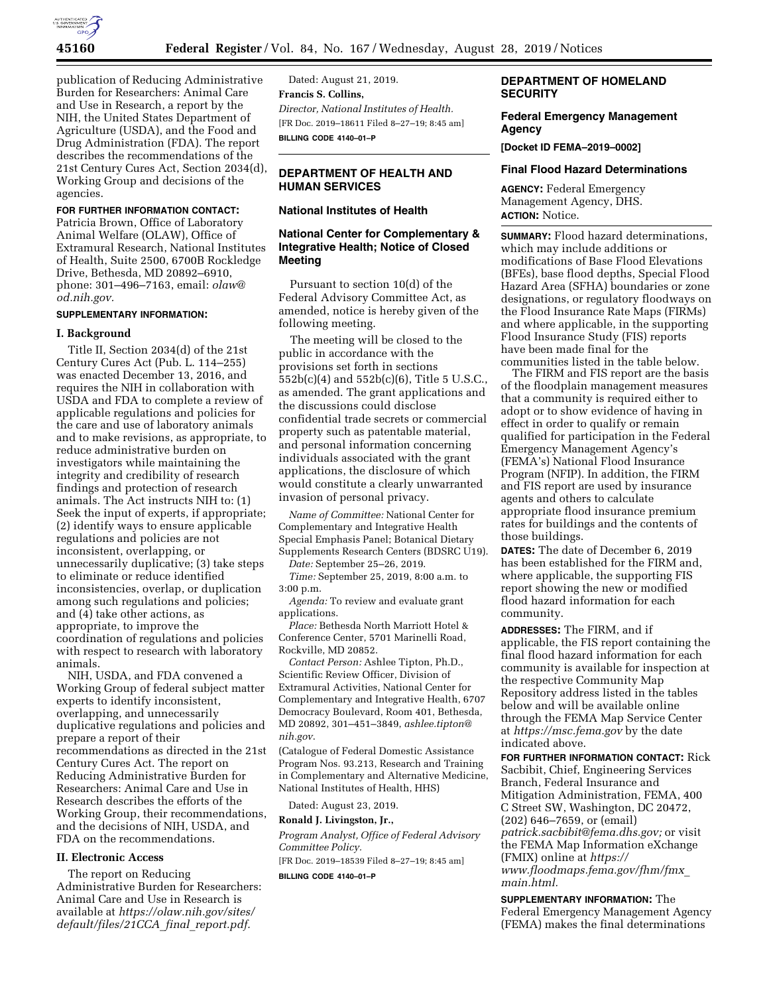

publication of Reducing Administrative Burden for Researchers: Animal Care and Use in Research, a report by the NIH, the United States Department of Agriculture (USDA), and the Food and Drug Administration (FDA). The report describes the recommendations of the 21st Century Cures Act, Section 2034(d), Working Group and decisions of the agencies.

### **FOR FURTHER INFORMATION CONTACT:**

Patricia Brown, Office of Laboratory Animal Welfare (OLAW), Office of Extramural Research, National Institutes of Health, Suite 2500, 6700B Rockledge Drive, Bethesda, MD 20892–6910, phone: 301–496–7163, email: *[olaw@](mailto:olaw@od.nih.gov) [od.nih.gov.](mailto:olaw@od.nih.gov)* 

### **SUPPLEMENTARY INFORMATION:**

#### **I. Background**

Title II, Section 2034(d) of the 21st Century Cures Act (Pub. L. 114–255) was enacted December 13, 2016, and requires the NIH in collaboration with USDA and FDA to complete a review of applicable regulations and policies for the care and use of laboratory animals and to make revisions, as appropriate, to reduce administrative burden on investigators while maintaining the integrity and credibility of research findings and protection of research animals. The Act instructs NIH to: (1) Seek the input of experts, if appropriate; (2) identify ways to ensure applicable regulations and policies are not inconsistent, overlapping, or unnecessarily duplicative; (3) take steps to eliminate or reduce identified inconsistencies, overlap, or duplication among such regulations and policies; and (4) take other actions, as appropriate, to improve the coordination of regulations and policies with respect to research with laboratory animals.

NIH, USDA, and FDA convened a Working Group of federal subject matter experts to identify inconsistent, overlapping, and unnecessarily duplicative regulations and policies and prepare a report of their recommendations as directed in the 21st Century Cures Act. The report on Reducing Administrative Burden for Researchers: Animal Care and Use in Research describes the efforts of the Working Group, their recommendations, and the decisions of NIH, USDA, and FDA on the recommendations.

### **II. Electronic Access**

The report on Reducing Administrative Burden for Researchers: Animal Care and Use in Research is available at *[https://olaw.nih.gov/sites/](https://olaw.nih.gov/sites/default/files/21CCA_final_report.pdf)  [default/files/21CCA](https://olaw.nih.gov/sites/default/files/21CCA_final_report.pdf)*\_*final*\_*report.pdf.* 

Dated: August 21, 2019. **Francis S. Collins,**  *Director, National Institutes of Health.*  [FR Doc. 2019–18611 Filed 8–27–19; 8:45 am] **BILLING CODE 4140–01–P** 

# **DEPARTMENT OF HEALTH AND HUMAN SERVICES**

### **National Institutes of Health**

# **National Center for Complementary & Integrative Health; Notice of Closed Meeting**

Pursuant to section 10(d) of the Federal Advisory Committee Act, as amended, notice is hereby given of the following meeting.

The meeting will be closed to the public in accordance with the provisions set forth in sections 552b(c)(4) and 552b(c)(6), Title 5 U.S.C., as amended. The grant applications and the discussions could disclose confidential trade secrets or commercial property such as patentable material, and personal information concerning individuals associated with the grant applications, the disclosure of which would constitute a clearly unwarranted invasion of personal privacy.

*Name of Committee:* National Center for Complementary and Integrative Health Special Emphasis Panel; Botanical Dietary Supplements Research Centers (BDSRC U19).

*Date:* September 25–26, 2019.

*Time:* September 25, 2019, 8:00 a.m. to 3:00 p.m.

*Agenda:* To review and evaluate grant applications.

*Place:* Bethesda North Marriott Hotel & Conference Center, 5701 Marinelli Road, Rockville, MD 20852.

*Contact Person:* Ashlee Tipton, Ph.D., Scientific Review Officer, Division of Extramural Activities, National Center for Complementary and Integrative Health, 6707 Democracy Boulevard, Room 401, Bethesda, MD 20892, 301–451–3849, *[ashlee.tipton@](mailto:ashlee.tipton@nih.gov) [nih.gov](mailto:ashlee.tipton@nih.gov)*.

(Catalogue of Federal Domestic Assistance Program Nos. 93.213, Research and Training in Complementary and Alternative Medicine, National Institutes of Health, HHS)

Dated: August 23, 2019.

### **Ronald J. Livingston, Jr.,**

*Program Analyst, Office of Federal Advisory Committee Policy.* 

[FR Doc. 2019–18539 Filed 8–27–19; 8:45 am]

**BILLING CODE 4140–01–P** 

# **DEPARTMENT OF HOMELAND SECURITY**

# **Federal Emergency Management Agency**

**[Docket ID FEMA–2019–0002]** 

#### **Final Flood Hazard Determinations**

**AGENCY:** Federal Emergency Management Agency, DHS. **ACTION:** Notice.

**SUMMARY:** Flood hazard determinations, which may include additions or modifications of Base Flood Elevations (BFEs), base flood depths, Special Flood Hazard Area (SFHA) boundaries or zone designations, or regulatory floodways on the Flood Insurance Rate Maps (FIRMs) and where applicable, in the supporting Flood Insurance Study (FIS) reports have been made final for the communities listed in the table below.

The FIRM and FIS report are the basis of the floodplain management measures that a community is required either to adopt or to show evidence of having in effect in order to qualify or remain qualified for participation in the Federal Emergency Management Agency's (FEMA's) National Flood Insurance Program (NFIP). In addition, the FIRM and FIS report are used by insurance agents and others to calculate appropriate flood insurance premium rates for buildings and the contents of those buildings.

**DATES:** The date of December 6, 2019 has been established for the FIRM and, where applicable, the supporting FIS report showing the new or modified flood hazard information for each community.

**ADDRESSES:** The FIRM, and if applicable, the FIS report containing the final flood hazard information for each community is available for inspection at the respective Community Map Repository address listed in the tables below and will be available online through the FEMA Map Service Center at *<https://msc.fema.gov>*by the date indicated above.

**FOR FURTHER INFORMATION CONTACT:** Rick Sacbibit, Chief, Engineering Services Branch, Federal Insurance and Mitigation Administration, FEMA, 400 C Street SW, Washington, DC 20472, (202) 646–7659, or (email) *[patrick.sacbibit@fema.dhs.gov;](mailto:patrick.sacbibit@fema.dhs.gov)* or visit the FEMA Map Information eXchange (FMIX) online at *[https://](https://www.floodmaps.fema.gov/fhm/fmx_main.html) [www.floodmaps.fema.gov/fhm/fmx](https://www.floodmaps.fema.gov/fhm/fmx_main.html)*\_ *[main.html.](https://www.floodmaps.fema.gov/fhm/fmx_main.html)* 

**SUPPLEMENTARY INFORMATION:** The Federal Emergency Management Agency (FEMA) makes the final determinations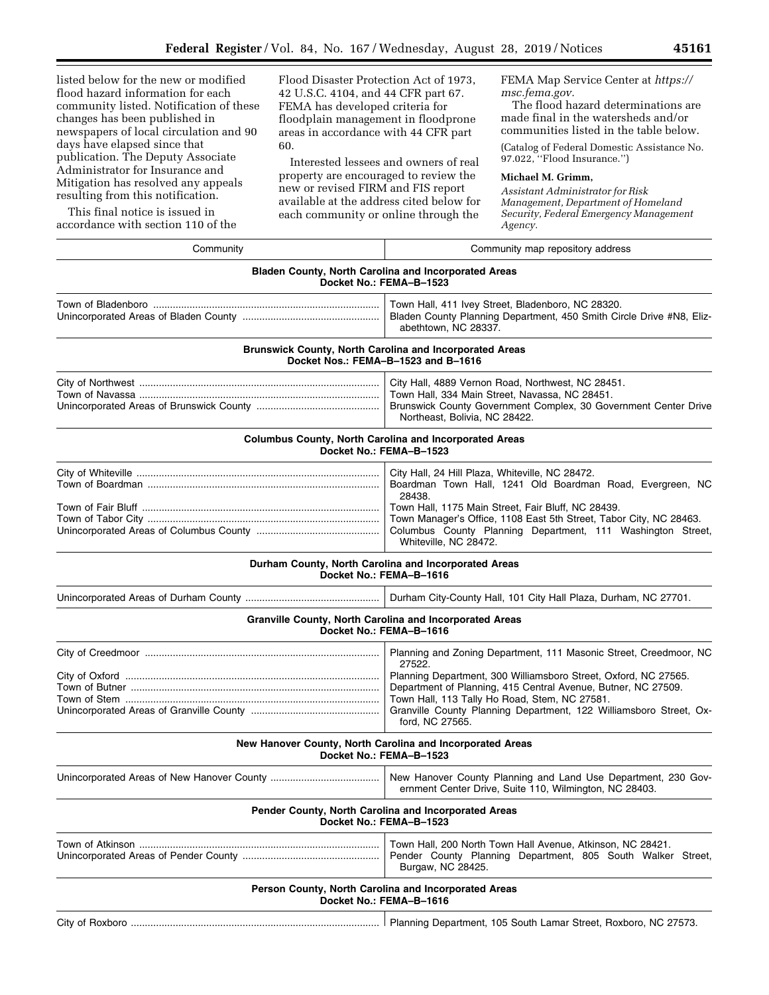listed below for the new or modified flood hazard information for each community listed. Notification of these changes has been published in newspapers of local circulation and 90 days have elapsed since that publication. The Deputy Associate Administrator for Insurance and Mitigation has resolved any appeals resulting from this notification.

This final notice is issued in accordance with section 110 of the

Flood Disaster Protection Act of 1973, 42 U.S.C. 4104, and 44 CFR part 67. FEMA has developed criteria for floodplain management in floodprone areas in accordance with 44 CFR part 60.

Interested lessees and owners of real property are encouraged to review the new or revised FIRM and FIS report available at the address cited below for each community or online through the

FEMA Map Service Center at *[https://](https://msc.fema.gov) [msc.fema.gov.](https://msc.fema.gov)* 

The flood hazard determinations are made final in the watersheds and/or communities listed in the table below.

(Catalog of Federal Domestic Assistance No. 97.022, ''Flood Insurance.'')

### **Michael M. Grimm,**

*Assistant Administrator for Risk Management, Department of Homeland Security, Federal Emergency Management Agency.* 

| Community                                      | Community map repository address                                                                                                                                                                                                                                                                                                                          |
|------------------------------------------------|-----------------------------------------------------------------------------------------------------------------------------------------------------------------------------------------------------------------------------------------------------------------------------------------------------------------------------------------------------------|
|                                                | <b>Bladen County, North Carolina and Incorporated Areas</b><br>Docket No.: FEMA-B-1523                                                                                                                                                                                                                                                                    |
|                                                | Town Hall, 411 Ivey Street, Bladenboro, NC 28320.<br>Bladen County Planning Department, 450 Smith Circle Drive #N8, Eliz-<br>abethtown, NC 28337.                                                                                                                                                                                                         |
|                                                | Brunswick County, North Carolina and Incorporated Areas<br>Docket Nos.: FEMA-B-1523 and B-1616                                                                                                                                                                                                                                                            |
|                                                | City Hall, 4889 Vernon Road, Northwest, NC 28451.<br>Town Hall, 334 Main Street, Navassa, NC 28451.<br>Brunswick County Government Complex, 30 Government Center Drive<br>Northeast, Bolivia, NC 28422.                                                                                                                                                   |
|                                                | Columbus County, North Carolina and Incorporated Areas<br>Docket No.: FEMA-B-1523                                                                                                                                                                                                                                                                         |
| Town of Fair Bluff ……………………………………………………………………… | City Hall, 24 Hill Plaza, Whiteville, NC 28472.<br>Boardman Town Hall, 1241 Old Boardman Road, Evergreen, NC<br>28438.<br>Town Hall, 1175 Main Street, Fair Bluff, NC 28439.<br>Town Manager's Office, 1108 East 5th Street, Tabor City, NC 28463.<br>Columbus County Planning Department, 111 Washington Street,<br>Whiteville, NC 28472.                |
|                                                | Durham County, North Carolina and Incorporated Areas<br>Docket No.: FEMA-B-1616                                                                                                                                                                                                                                                                           |
|                                                | Durham City-County Hall, 101 City Hall Plaza, Durham, NC 27701.                                                                                                                                                                                                                                                                                           |
|                                                | Granville County, North Carolina and Incorporated Areas<br>Docket No.: FEMA-B-1616                                                                                                                                                                                                                                                                        |
|                                                | Planning and Zoning Department, 111 Masonic Street, Creedmoor, NC<br>27522.<br>Planning Department, 300 Williamsboro Street, Oxford, NC 27565.<br>Department of Planning, 415 Central Avenue, Butner, NC 27509.<br>Town Hall, 113 Tally Ho Road, Stem, NC 27581.<br>Granville County Planning Department, 122 Williamsboro Street, Ox-<br>ford, NC 27565. |
|                                                | New Hanover County, North Carolina and Incorporated Areas<br>Docket No.: FEMA-B-1523                                                                                                                                                                                                                                                                      |
|                                                | New Hanover County Planning and Land Use Department, 230 Gov-<br>ernment Center Drive, Suite 110, Wilmington, NC 28403.                                                                                                                                                                                                                                   |
|                                                | Pender County, North Carolina and Incorporated Areas<br>Docket No.: FEMA-B-1523                                                                                                                                                                                                                                                                           |
|                                                | Town Hall, 200 North Town Hall Avenue, Atkinson, NC 28421.<br>Pender County Planning Department, 805 South Walker Street,<br>Burgaw, NC 28425.                                                                                                                                                                                                            |
|                                                | Person County, North Carolina and Incorporated Areas<br>Docket No.: FEMA-B-1616                                                                                                                                                                                                                                                                           |
|                                                | Planning Department, 105 South Lamar Street, Roxboro, NC 27573.                                                                                                                                                                                                                                                                                           |